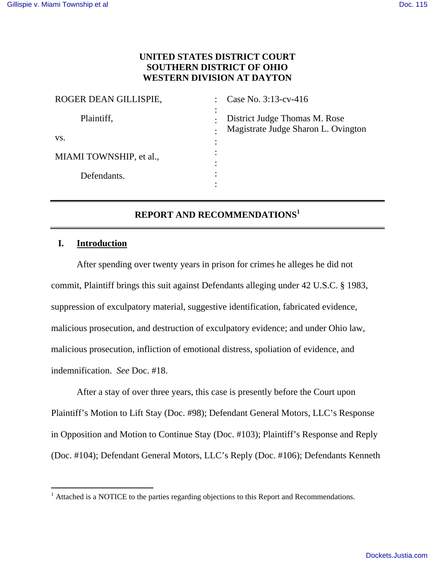## **UNITED STATES DISTRICT COURT SOUTHERN DISTRICT OF OHIO WESTERN DIVISION AT DAYTON**

| ROGER DEAN GILLISPIE,   | Case No. 3:13-cv-416                                                 |
|-------------------------|----------------------------------------------------------------------|
| Plaintiff,              | District Judge Thomas M. Rose<br>Magistrate Judge Sharon L. Ovington |
| VS.                     |                                                                      |
| MIAMI TOWNSHIP, et al., |                                                                      |
| Defendants.             |                                                                      |
|                         |                                                                      |

# **REPORT AND RECOMMENDATIONS<sup>1</sup>**

## **I. Introduction**

-

After spending over twenty years in prison for crimes he alleges he did not commit, Plaintiff brings this suit against Defendants alleging under 42 U.S.C. § 1983, suppression of exculpatory material, suggestive identification, fabricated evidence, malicious prosecution, and destruction of exculpatory evidence; and under Ohio law, malicious prosecution, infliction of emotional distress, spoliation of evidence, and indemnification. *See* Doc. #18.

After a stay of over three years, this case is presently before the Court upon Plaintiff's Motion to Lift Stay (Doc. #98); Defendant General Motors, LLC's Response in Opposition and Motion to Continue Stay (Doc. #103); Plaintiff's Response and Reply (Doc. #104); Defendant General Motors, LLC's Reply (Doc. #106); Defendants Kenneth

<sup>&</sup>lt;sup>1</sup> Attached is a NOTICE to the parties regarding objections to this Report and Recommendations.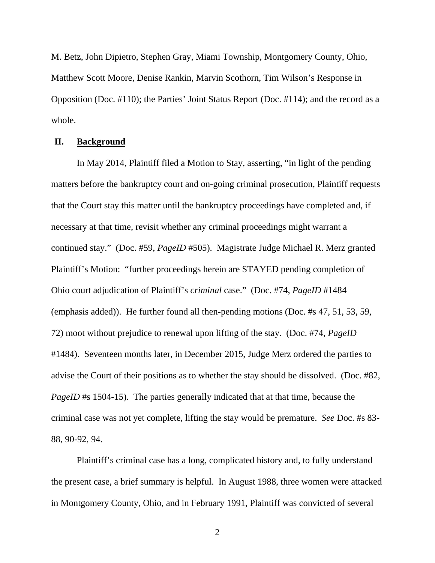M. Betz, John Dipietro, Stephen Gray, Miami Township, Montgomery County, Ohio, Matthew Scott Moore, Denise Rankin, Marvin Scothorn, Tim Wilson's Response in Opposition (Doc. #110); the Parties' Joint Status Report (Doc. #114); and the record as a whole.

## **II. Background**

In May 2014, Plaintiff filed a Motion to Stay, asserting, "in light of the pending matters before the bankruptcy court and on-going criminal prosecution, Plaintiff requests that the Court stay this matter until the bankruptcy proceedings have completed and, if necessary at that time, revisit whether any criminal proceedings might warrant a continued stay." (Doc. #59, *PageID* #505). Magistrate Judge Michael R. Merz granted Plaintiff's Motion: "further proceedings herein are STAYED pending completion of Ohio court adjudication of Plaintiff's *criminal* case." (Doc. #74, *PageID* #1484 (emphasis added)). He further found all then-pending motions (Doc. #s 47, 51, 53, 59, 72) moot without prejudice to renewal upon lifting of the stay. (Doc. #74, *PageID*  #1484). Seventeen months later, in December 2015, Judge Merz ordered the parties to advise the Court of their positions as to whether the stay should be dissolved. (Doc. #82, *PageID* #s 1504-15). The parties generally indicated that at that time, because the criminal case was not yet complete, lifting the stay would be premature. *See* Doc. #s 83- 88, 90-92, 94.

 Plaintiff's criminal case has a long, complicated history and, to fully understand the present case, a brief summary is helpful. In August 1988, three women were attacked in Montgomery County, Ohio, and in February 1991, Plaintiff was convicted of several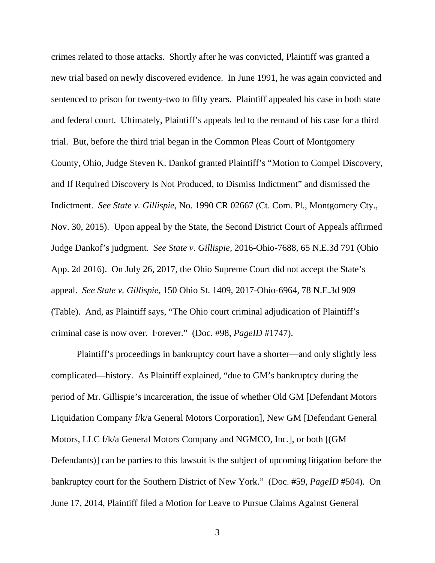crimes related to those attacks. Shortly after he was convicted, Plaintiff was granted a new trial based on newly discovered evidence. In June 1991, he was again convicted and sentenced to prison for twenty-two to fifty years. Plaintiff appealed his case in both state and federal court. Ultimately, Plaintiff's appeals led to the remand of his case for a third trial. But, before the third trial began in the Common Pleas Court of Montgomery County, Ohio, Judge Steven K. Dankof granted Plaintiff's "Motion to Compel Discovery, and If Required Discovery Is Not Produced, to Dismiss Indictment" and dismissed the Indictment. *See State v. Gillispie,* No. 1990 CR 02667 (Ct. Com. Pl., Montgomery Cty., Nov. 30, 2015). Upon appeal by the State, the Second District Court of Appeals affirmed Judge Dankof's judgment. *See State v. Gillispie,* 2016-Ohio-7688, 65 N.E.3d 791 (Ohio App. 2d 2016). On July 26, 2017, the Ohio Supreme Court did not accept the State's appeal. *See State v. Gillispie,* 150 Ohio St. 1409, 2017-Ohio-6964, 78 N.E.3d 909 (Table). And, as Plaintiff says, "The Ohio court criminal adjudication of Plaintiff's criminal case is now over. Forever." (Doc. #98, *PageID* #1747).

Plaintiff's proceedings in bankruptcy court have a shorter—and only slightly less complicated—history. As Plaintiff explained, "due to GM's bankruptcy during the period of Mr. Gillispie's incarceration, the issue of whether Old GM [Defendant Motors Liquidation Company f/k/a General Motors Corporation], New GM [Defendant General Motors, LLC f/k/a General Motors Company and NGMCO, Inc.], or both [(GM Defendants)] can be parties to this lawsuit is the subject of upcoming litigation before the bankruptcy court for the Southern District of New York." (Doc. #59, *PageID* #504). On June 17, 2014, Plaintiff filed a Motion for Leave to Pursue Claims Against General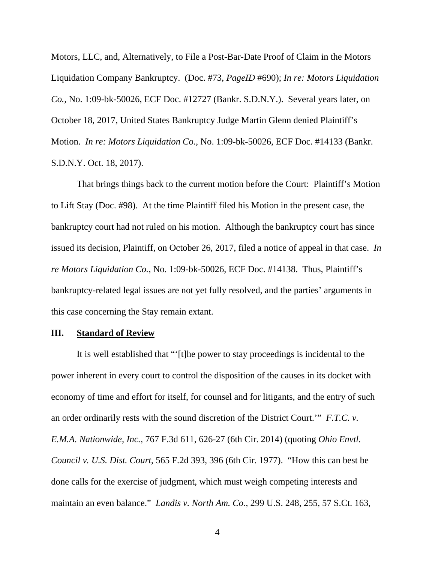Motors, LLC, and, Alternatively, to File a Post-Bar-Date Proof of Claim in the Motors Liquidation Company Bankruptcy. (Doc. #73, *PageID* #690); *In re: Motors Liquidation Co.,* No. 1:09-bk-50026, ECF Doc. #12727 (Bankr. S.D.N.Y.). Several years later, on October 18, 2017, United States Bankruptcy Judge Martin Glenn denied Plaintiff's Motion. *In re: Motors Liquidation Co.,* No. 1:09-bk-50026, ECF Doc. #14133 (Bankr. S.D.N.Y. Oct. 18, 2017).

That brings things back to the current motion before the Court: Plaintiff's Motion to Lift Stay (Doc. #98). At the time Plaintiff filed his Motion in the present case, the bankruptcy court had not ruled on his motion. Although the bankruptcy court has since issued its decision, Plaintiff, on October 26, 2017, filed a notice of appeal in that case. *In re Motors Liquidation Co.,* No. 1:09-bk-50026, ECF Doc. #14138. Thus, Plaintiff's bankruptcy-related legal issues are not yet fully resolved, and the parties' arguments in this case concerning the Stay remain extant.

## **III. Standard of Review**

It is well established that "'[t]he power to stay proceedings is incidental to the power inherent in every court to control the disposition of the causes in its docket with economy of time and effort for itself, for counsel and for litigants, and the entry of such an order ordinarily rests with the sound discretion of the District Court.'" *F.T.C. v. E.M.A. Nationwide, Inc.*, 767 F.3d 611, 626-27 (6th Cir. 2014) (quoting *Ohio Envtl. Council v. U.S. Dist. Court*, 565 F.2d 393, 396 (6th Cir. 1977). "How this can best be done calls for the exercise of judgment, which must weigh competing interests and maintain an even balance." *Landis v. North Am. Co.,* 299 U.S. 248, 255, 57 S.Ct. 163,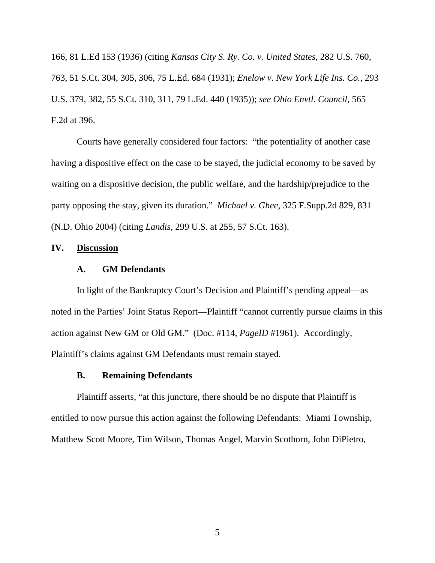166, 81 L.Ed 153 (1936) (citing *Kansas City S. Ry. Co. v. United States*, 282 U.S. 760, 763, 51 S.Ct. 304, 305, 306, 75 L.Ed. 684 (1931); *Enelow v. New York Life Ins. Co.*, 293 U.S. 379, 382, 55 S.Ct. 310, 311, 79 L.Ed. 440 (1935)); *see Ohio Envtl. Council*, 565 F.2d at 396.

Courts have generally considered four factors: "the potentiality of another case having a dispositive effect on the case to be stayed, the judicial economy to be saved by waiting on a dispositive decision, the public welfare, and the hardship/prejudice to the party opposing the stay, given its duration." *Michael v. Ghee,* 325 F.Supp.2d 829, 831 (N.D. Ohio 2004) (citing *Landis,* 299 U.S. at 255, 57 S.Ct. 163).

## **IV. Discussion**

#### **A. GM Defendants**

In light of the Bankruptcy Court's Decision and Plaintiff's pending appeal—as noted in the Parties' Joint Status Report—Plaintiff "cannot currently pursue claims in this action against New GM or Old GM." (Doc. #114, *PageID* #1961). Accordingly, Plaintiff's claims against GM Defendants must remain stayed.

#### **B. Remaining Defendants**

Plaintiff asserts, "at this juncture, there should be no dispute that Plaintiff is entitled to now pursue this action against the following Defendants: Miami Township, Matthew Scott Moore, Tim Wilson, Thomas Angel, Marvin Scothorn, John DiPietro,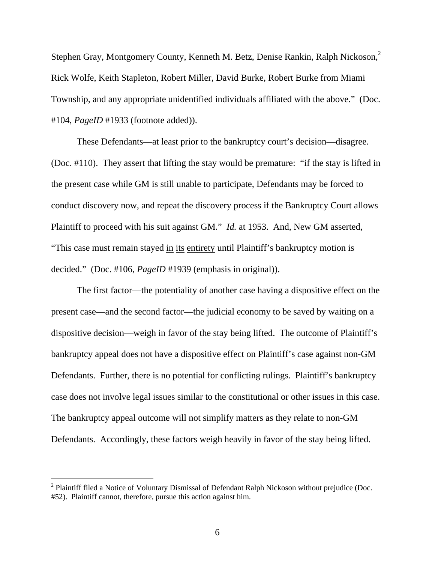Stephen Gray, Montgomery County, Kenneth M. Betz, Denise Rankin, Ralph Nickoson,<sup>2</sup> Rick Wolfe, Keith Stapleton, Robert Miller, David Burke, Robert Burke from Miami Township, and any appropriate unidentified individuals affiliated with the above." (Doc. #104, *PageID* #1933 (footnote added)).

These Defendants—at least prior to the bankruptcy court's decision—disagree. (Doc. #110). They assert that lifting the stay would be premature: "if the stay is lifted in the present case while GM is still unable to participate, Defendants may be forced to conduct discovery now, and repeat the discovery process if the Bankruptcy Court allows Plaintiff to proceed with his suit against GM." *Id.* at 1953. And, New GM asserted, "This case must remain stayed in its entirety until Plaintiff's bankruptcy motion is decided." (Doc. #106, *PageID* #1939 (emphasis in original)).

The first factor—the potentiality of another case having a dispositive effect on the present case—and the second factor—the judicial economy to be saved by waiting on a dispositive decision—weigh in favor of the stay being lifted. The outcome of Plaintiff's bankruptcy appeal does not have a dispositive effect on Plaintiff's case against non-GM Defendants. Further, there is no potential for conflicting rulings. Plaintiff's bankruptcy case does not involve legal issues similar to the constitutional or other issues in this case. The bankruptcy appeal outcome will not simplify matters as they relate to non-GM Defendants. Accordingly, these factors weigh heavily in favor of the stay being lifted.

 $\overline{a}$ 

 $2$  Plaintiff filed a Notice of Voluntary Dismissal of Defendant Ralph Nickoson without prejudice (Doc. #52). Plaintiff cannot, therefore, pursue this action against him.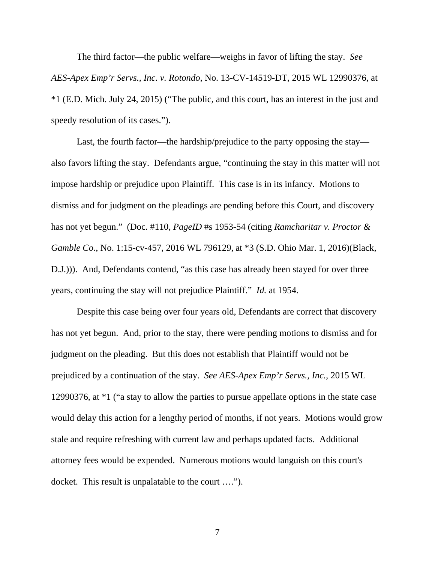The third factor—the public welfare—weighs in favor of lifting the stay. *See AES-Apex Emp'r Servs., Inc. v. Rotondo*, No. 13-CV-14519-DT, 2015 WL 12990376, at \*1 (E.D. Mich. July 24, 2015) ("The public, and this court, has an interest in the just and speedy resolution of its cases.").

Last, the fourth factor—the hardship/prejudice to the party opposing the stay also favors lifting the stay. Defendants argue, "continuing the stay in this matter will not impose hardship or prejudice upon Plaintiff. This case is in its infancy. Motions to dismiss and for judgment on the pleadings are pending before this Court, and discovery has not yet begun." (Doc. #110, *PageID* #s 1953-54 (citing *Ramcharitar v. Proctor & Gamble Co.*, No. 1:15-cv-457, 2016 WL 796129, at \*3 (S.D. Ohio Mar. 1, 2016)(Black, D.J.))). And, Defendants contend, "as this case has already been stayed for over three years, continuing the stay will not prejudice Plaintiff." *Id.* at 1954.

Despite this case being over four years old, Defendants are correct that discovery has not yet begun. And, prior to the stay, there were pending motions to dismiss and for judgment on the pleading. But this does not establish that Plaintiff would not be prejudiced by a continuation of the stay. *See AES-Apex Emp'r Servs., Inc.,* 2015 WL 12990376, at \*1 ("a stay to allow the parties to pursue appellate options in the state case would delay this action for a lengthy period of months, if not years. Motions would grow stale and require refreshing with current law and perhaps updated facts. Additional attorney fees would be expended. Numerous motions would languish on this court's docket. This result is unpalatable to the court ….").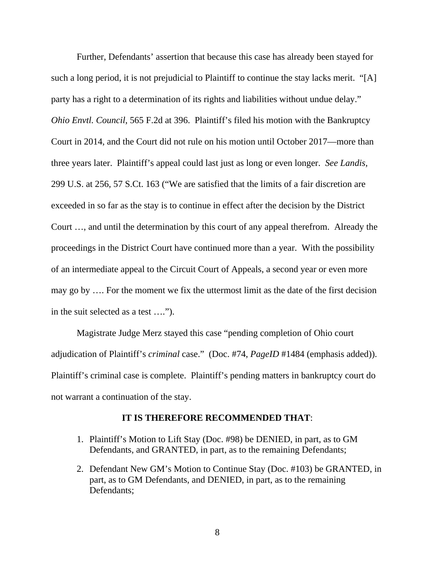Further, Defendants' assertion that because this case has already been stayed for such a long period, it is not prejudicial to Plaintiff to continue the stay lacks merit. "[A] party has a right to a determination of its rights and liabilities without undue delay." *Ohio Envtl. Council*, 565 F.2d at 396. Plaintiff's filed his motion with the Bankruptcy Court in 2014, and the Court did not rule on his motion until October 2017—more than three years later. Plaintiff's appeal could last just as long or even longer. *See Landis,*  299 U.S. at 256, 57 S.Ct. 163 ("We are satisfied that the limits of a fair discretion are exceeded in so far as the stay is to continue in effect after the decision by the District Court …, and until the determination by this court of any appeal therefrom. Already the proceedings in the District Court have continued more than a year. With the possibility of an intermediate appeal to the Circuit Court of Appeals, a second year or even more may go by …. For the moment we fix the uttermost limit as the date of the first decision in the suit selected as a test ….").

Magistrate Judge Merz stayed this case "pending completion of Ohio court adjudication of Plaintiff's *criminal* case." (Doc. #74, *PageID* #1484 (emphasis added)). Plaintiff's criminal case is complete. Plaintiff's pending matters in bankruptcy court do not warrant a continuation of the stay.

#### **IT IS THEREFORE RECOMMENDED THAT**:

- 1. Plaintiff's Motion to Lift Stay (Doc. #98) be DENIED, in part, as to GM Defendants, and GRANTED, in part, as to the remaining Defendants;
- 2. Defendant New GM's Motion to Continue Stay (Doc. #103) be GRANTED, in part, as to GM Defendants, and DENIED, in part, as to the remaining Defendants;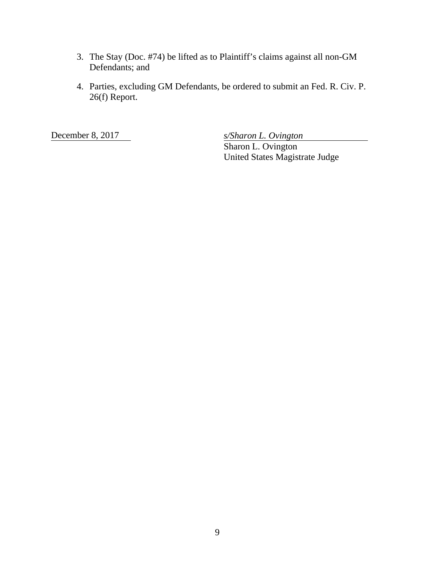- 3. The Stay (Doc. #74) be lifted as to Plaintiff's claims against all non-GM Defendants; and
- 4. Parties, excluding GM Defendants, be ordered to submit an Fed. R. Civ. P. 26(f) Report.

December 8, 2017 *s/Sharon L. Ovington* 

Sharon L. Ovington United States Magistrate Judge